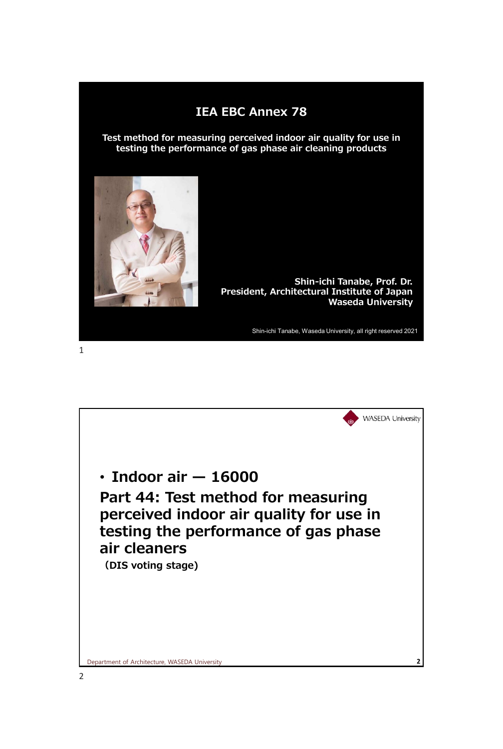## **IEA EBC Annex 78**

**Test method for measuring perceived indoor air quality for use in testing the performance of gas phase air cleaning products**



1

**Shin-ichi Tanabe, Prof. Dr. President, Architectural Institute of Japan Waseda University** 

Shin-ichi Tanabe, Waseda University, all right reserved 2021

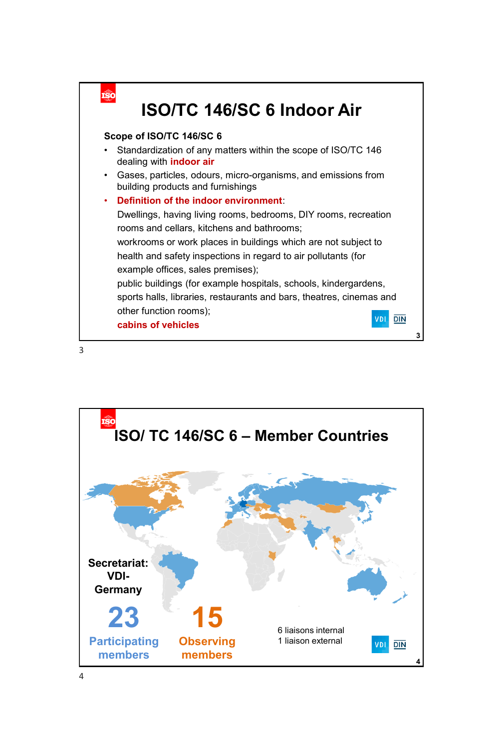

3

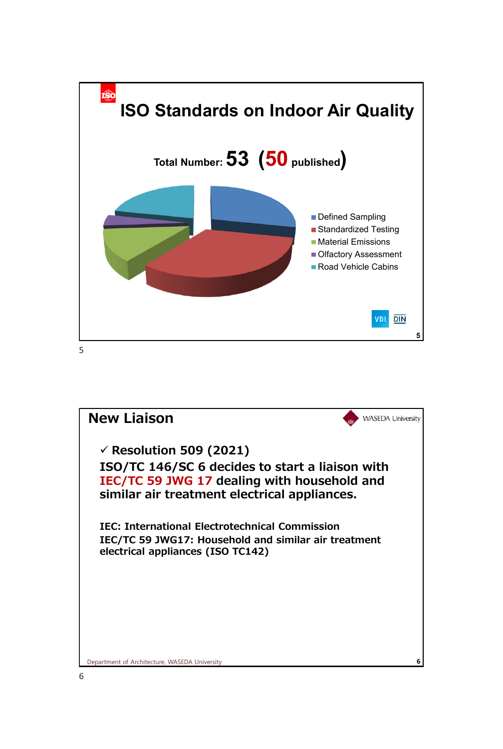

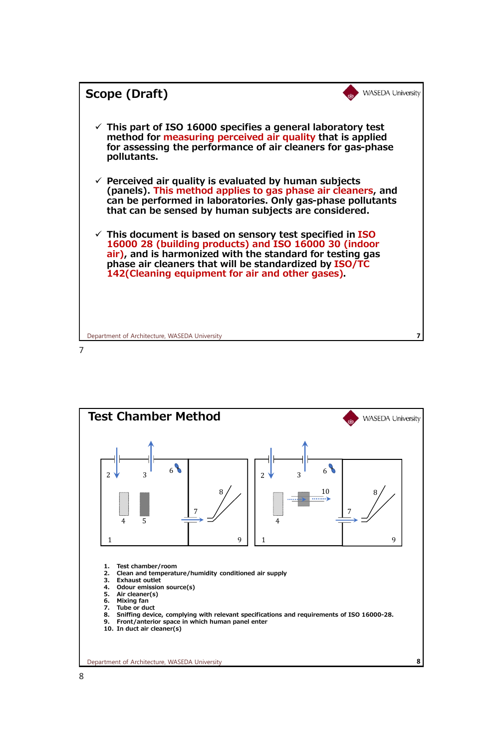

7